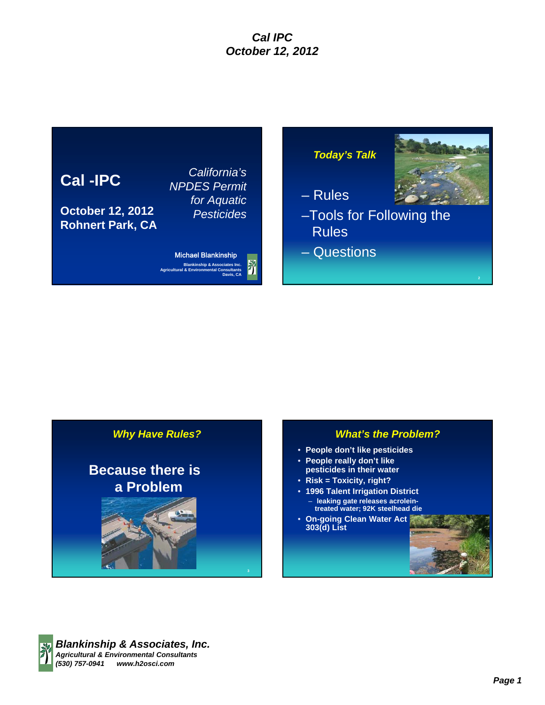



# **Because there is a Problem**

#### *What's the Problem?*

- **People don't like pesticides**
- **People really don't like pesticides in their water**
- **Risk = Toxicity, right?**
- **1996 Talent Irrigation District**
	- **leaking gate releases acroleintreated water; 92K steelhead die**
- **On-going Clean Water Act 303(d) List**



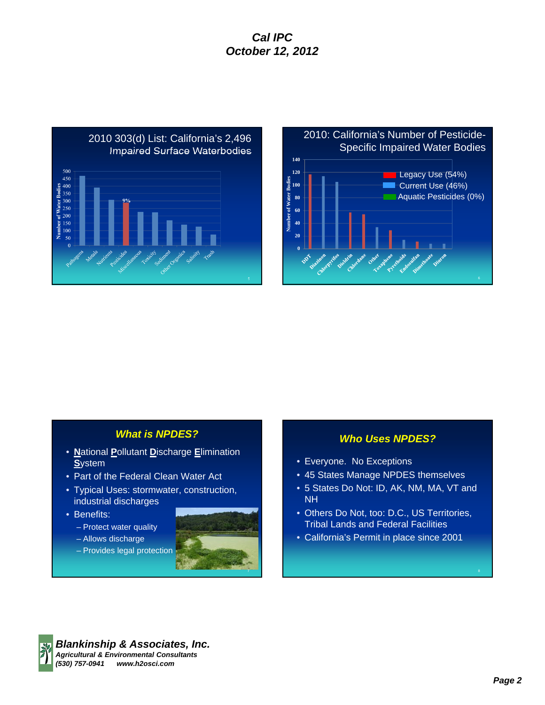

#### 2010: California's Number of Pesticide-Specific Impaired Water Bodies



### *What is NPDES?*

- **N**ational **P**ollutant **D**ischarge **E**limination **S**ystem
- Part of the Federal Clean Water Act
- Typical Uses: stormwater, construction, industrial discharges
- Benefits:
	- Protect water quality
	- Allows discharge
	- Provides legal protection



#### *Who Uses NPDES?*

- Everyone. No Exceptions
- 45 States Manage NPDES themselves
- 5 States Do Not: ID, AK, NM, MA, VT and NH
- Others Do Not, too: D.C., US Territories, Tribal Lands and Federal Facilities
- California's Permit in place since 2001



*Blankinship & Associates, Inc. Agricultural & Environmental Consultants (530) 757-0941 www.h2osci.com*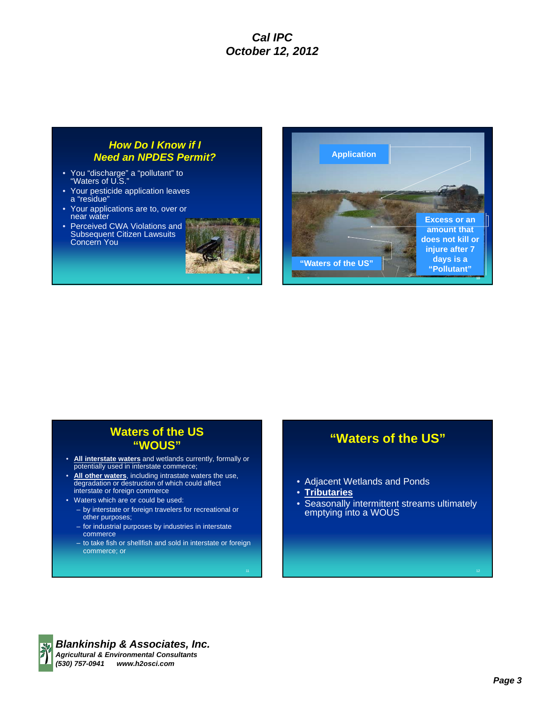### *How Do I Know if I Need an NPDES Permit?*

- You "discharge" a "pollutant" to "Waters of U.S."
- Your pesticide application leaves a "residue"
- Your applications are to, over or near water
- Perceived CWA Violations and Subsequent Citizen Lawsuits Concern You





### **Waters of the US "WOUS"**

- **All interstate waters** and wetlands currently, formally or potentially used in interstate commerce;
- **All other waters**, including intrastate waters the use, degradation or destruction of which could affect interstate or foreign commerce
- Waters which are or could be used:
	- by interstate or foreign travelers for recreational or other purposes;
	- for industrial purposes by industries in interstate commerce
	- to take fish or shellfish and sold in interstate or foreign commerce; or

# **"Waters of the US"**

- Adjacent Wetlands and Ponds
- **Tributaries**
- Seasonally intermittent streams ultimately emptying into a WOUS



*Blankinship & Associates, Inc. Agricultural & Environmental Consultants (530) 757-0941 www.h2osci.com*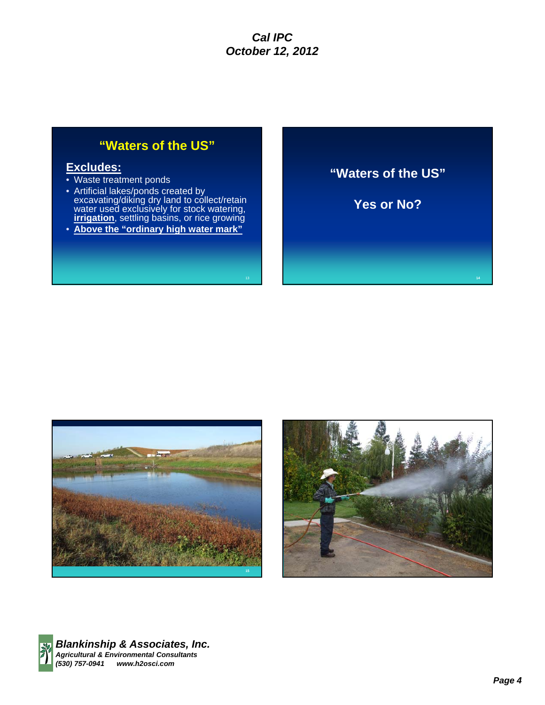# **"Waters of the US"**

#### **Excludes:**

- Waste treatment ponds
- Artificial lakes/ponds created by excavating/diking dry land to collect/retain water used exclusively for stock watering, **irrigation**, settling basins, or rice growing
- **Above the "ordinary high water mark"**

**"Waters of the US"**

**Yes or No?**

14





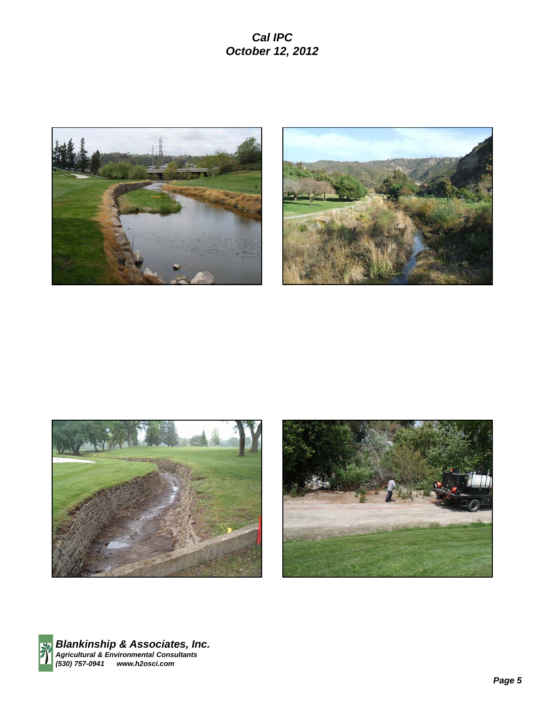







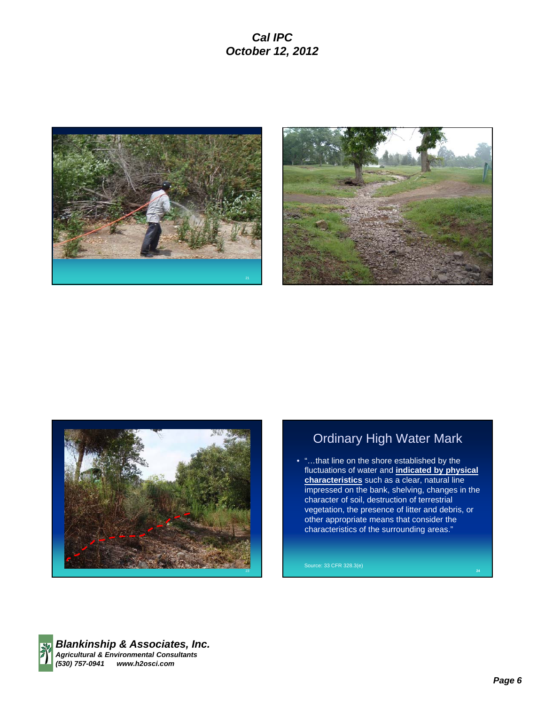





# Ordinary High Water Mark

• "…that line on the shore established by the fluctuations of water and **indicated by physical characteristics** such as a clear, natural line impressed on the bank, shelving, changes in the character of soil, destruction of terrestrial vegetation, the presence of litter and debris, or other appropriate means that consider the characteristics of the surrounding areas."

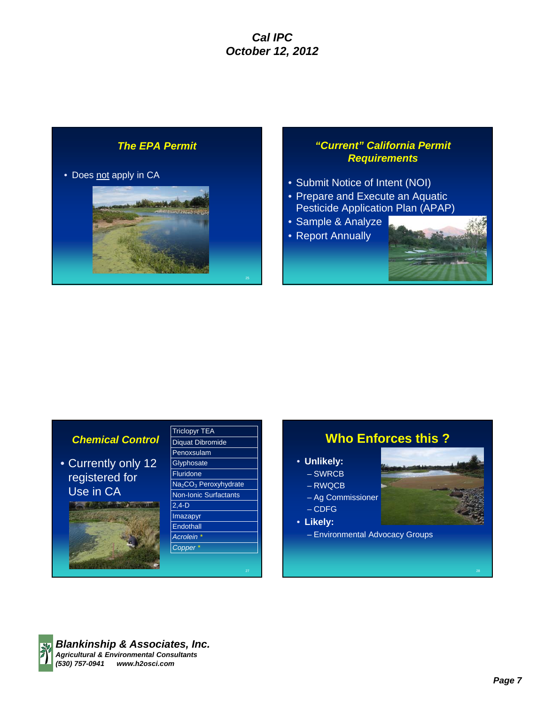### *The EPA Permit*

• Does not apply in CA



### *"Current" California Permit Requirements*

- Submit Notice of Intent (NOI)
- Prepare and Execute an Aquatic Pesticide Application Plan (APAP)
- Sample & Analyze
- Report Annually



### *Chemical Control*

• Currently only 12 registered for Use in CA



#### Triclopyr TEA Diquat Dibromide Penoxsulam **Glyphosate** Fluridone Na<sub>2</sub>CO<sub>3</sub> Peroxyhydrate Non-Ionic Surfactants 2,4-D Imazapyr **Endothall** *Acrolein \* Copper \**



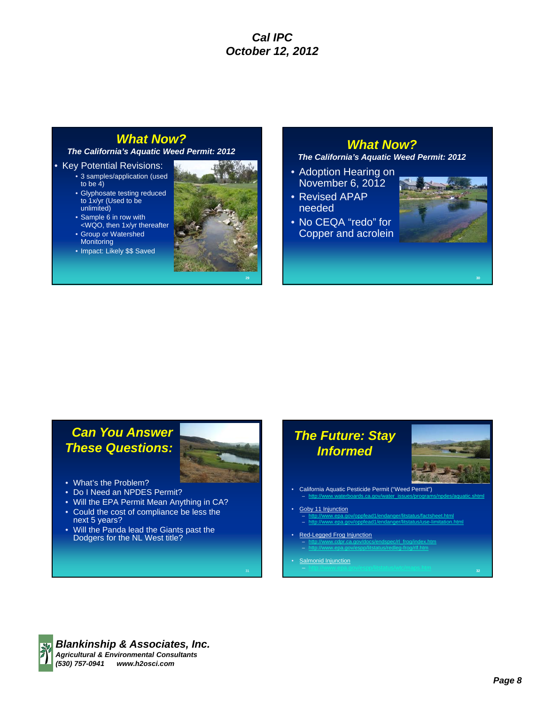## *What Now?*

*The California's Aquatic Weed Permit: 2012*

- Key Potential Revisions:
	- 3 samples/application (used to be 4)
	- Glyphosate testing reduced to 1x/yr (Used to be unlimited)
	- Sample 6 in row with <WQO, then 1x/yr thereafter
	- Group or Watershed **Monitoring**
	- Impact: Likely \$\$ Saved



### *What Now?*

*The California's Aquatic Weed Permit: 2012*

- Adoption Hearing on November 6, 2012
- Revised APAP needed
- No CEQA "redo" for Copper and acrolein



30

# *Can You Answer These Questions:*



- What's the Problem?
- Do I Need an NPDES Permit?
- Will the EPA Permit Mean Anything in CA?
- Could the cost of compliance be less the next 5 years?
- Will the Panda lead the Giants past the Dodgers for the NL West title?



- Red-Legged Frog Injunction – http://www.cdpr.ca.gov/docs/endspec/rl\_frog/index.htm
- http://www.epa.gov/espp/litstatus/redleg-frog/rlf.htm
- **Salmonid Injunction**



*Blankinship & Associates, Inc. Agricultural & Environmental Consultants (530) 757-0941 www.h2osci.com*